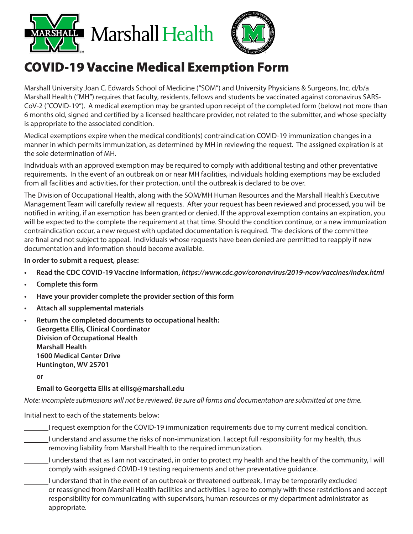



## COVID-19 Vaccine Medical Exemption Form

Marshall University Joan C. Edwards School of Medicine ("SOM") and University Physicians & Surgeons, Inc. d/b/a Marshall Health ("MH") requires that faculty, residents, fellows and students be vaccinated against coronavirus SARS-CoV-2 ("COVID-19"). A medical exemption may be granted upon receipt of the completed form (below) not more than 6 months old, signed and certified by a licensed healthcare provider, not related to the submitter, and whose specialty is appropriate to the associated condition.

Medical exemptions expire when the medical condition(s) contraindication COVID-19 immunization changes in a manner in which permits immunization, as determined by MH in reviewing the request. The assigned expiration is at the sole determination of MH.

Individuals with an approved exemption may be required to comply with additional testing and other preventative requirements. In the event of an outbreak on or near MH facilities, individuals holding exemptions may be excluded from all facilities and activities, for their protection, until the outbreak is declared to be over.

The Division of Occupational Health, along with the SOM/MH Human Resources and the Marshall Health's Executive Management Team will carefully review all requests. After your request has been reviewed and processed, you will be notified in writing, if an exemption has been granted or denied. If the approval exemption contains an expiration, you will be expected to the complete the requirement at that time. Should the condition continue, or a new immunization contraindication occur, a new request with updated documentation is required. The decisions of the committee are final and not subject to appeal. Individuals whose requests have been denied are permitted to reapply if new documentation and information should become available.

**In order to submit a request, please:**

- **• Read the CDC COVID-19 Vaccine Information,** *https://www.cdc.gov/coronavirus/2019-ncov/vaccines/index.html*
- **• Complete this form**
- **• Have your provider complete the provider section of this form**
- **• Attach all supplemental materials**
- **• Return the completed documents to occupational health: Georgetta Ellis, Clinical Coordinator Division of Occupational Health Marshall Health 1600 Medical Center Drive Huntington, WV 25701**

**or**

## **Email to Georgetta Ellis at ellisg@marshall.edu**

*Note: incomplete submissions will not be reviewed. Be sure all forms and documentation are submitted at one time.*

Initial next to each of the statements below:

- I request exemption for the COVID-19 immunization requirements due to my current medical condition.
- I understand and assume the risks of non-immunization. I accept full responsibility for my health, thus removing liability from Marshall Health to the required immunization.
- I understand that as I am not vaccinated, in order to protect my health and the health of the community, I will comply with assigned COVID-19 testing requirements and other preventative guidance.
- I understand that in the event of an outbreak or threatened outbreak, I may be temporarily excluded or reassigned from Marshall Health facilities and activities. I agree to comply with these restrictions and accept responsibility for communicating with supervisors, human resources or my department administrator as appropriate.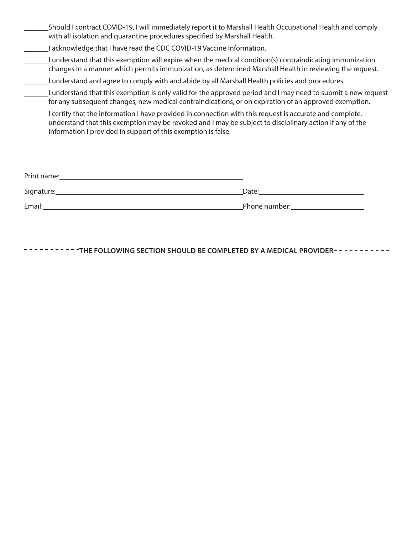| _Should I contract COVID-19, I will immediately report it to Marshall Health Occupational Health and comply |
|-------------------------------------------------------------------------------------------------------------|
| with all isolation and quarantine procedures specified by Marshall Health.                                  |

- I acknowledge that I have read the CDC COVID-19 Vaccine Information.
- I understand that this exemption will expire when the medical condition(s) contraindicating immunization changes in a manner which permits immunization, as determined Marshall Health in reviewing the request.
- I understand and agree to comply with and abide by all Marshall Health policies and procedures.
- I understand that this exemption is only valid for the approved period and I may need to submit a new request for any subsequent changes, new medical contraindications, or on expiration of an approved exemption.
- I certify that the information I have provided in connection with this request is accurate and complete. I understand that this exemption may be revoked and I may be subject to disciplinary action if any of the information I provided in support of this exemption is false.

| Print name: |               |
|-------------|---------------|
| Signature:  | Date:         |
| Email:      | Phone number: |

**THE FOLLOWING SECTION SHOULD BE COMPLETED BY A MEDICAL PROVIDER-INCTIONAL PROVIDER**